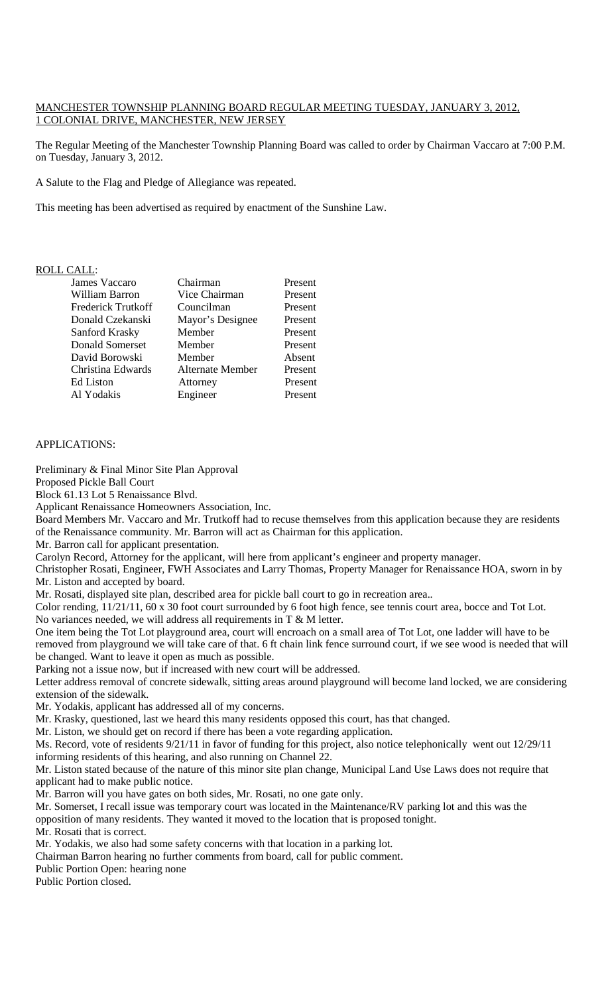## MANCHESTER TOWNSHIP PLANNING BOARD REGULAR MEETING TUESDAY, JANUARY 3, 2012, 1 COLONIAL DRIVE, MANCHESTER, NEW JERSEY

The Regular Meeting of the Manchester Township Planning Board was called to order by Chairman Vaccaro at 7:00 P.M. on Tuesday, January 3, 2012.

A Salute to the Flag and Pledge of Allegiance was repeated.

This meeting has been advertised as required by enactment of the Sunshine Law.

# ROLL CALL:

|            | James Vaccaro             | Chairman                | Present |
|------------|---------------------------|-------------------------|---------|
|            | William Barron            | Vice Chairman           | Present |
|            | <b>Frederick Trutkoff</b> | Councilman              | Present |
|            | Donald Czekanski          | Mayor's Designee        | Present |
|            | Sanford Krasky            | Member                  | Present |
|            | Donald Somerset           | Member                  | Present |
|            | David Borowski            | Member                  | Absent  |
|            | Christina Edwards         | <b>Alternate Member</b> | Present |
| Ed Liston  |                           | Attorney                | Present |
| Al Yodakis |                           | Engineer                | Present |

## APPLICATIONS:

Preliminary & Final Minor Site Plan Approval

Proposed Pickle Ball Court

Block 61.13 Lot 5 Renaissance Blvd.

Applicant Renaissance Homeowners Association, Inc.

Board Members Mr. Vaccaro and Mr. Trutkoff had to recuse themselves from this application because they are residents of the Renaissance community. Mr. Barron will act as Chairman for this application.

Mr. Barron call for applicant presentation.

Carolyn Record, Attorney for the applicant, will here from applicant's engineer and property manager.

Christopher Rosati, Engineer, FWH Associates and Larry Thomas, Property Manager for Renaissance HOA, sworn in by Mr. Liston and accepted by board.

Mr. Rosati, displayed site plan, described area for pickle ball court to go in recreation area..

Color rending, 11/21/11, 60 x 30 foot court surrounded by 6 foot high fence, see tennis court area, bocce and Tot Lot. No variances needed, we will address all requirements in  $T \& M$  letter.

One item being the Tot Lot playground area, court will encroach on a small area of Tot Lot, one ladder will have to be removed from playground we will take care of that. 6 ft chain link fence surround court, if we see wood is needed that will be changed. Want to leave it open as much as possible.

Parking not a issue now, but if increased with new court will be addressed.

Letter address removal of concrete sidewalk, sitting areas around playground will become land locked, we are considering extension of the sidewalk.

Mr. Yodakis, applicant has addressed all of my concerns.

Mr. Krasky, questioned, last we heard this many residents opposed this court, has that changed.

Mr. Liston, we should get on record if there has been a vote regarding application.

Ms. Record, vote of residents 9/21/11 in favor of funding for this project, also notice telephonically went out 12/29/11 informing residents of this hearing, and also running on Channel 22.

Mr. Liston stated because of the nature of this minor site plan change, Municipal Land Use Laws does not require that applicant had to make public notice.

Mr. Barron will you have gates on both sides, Mr. Rosati, no one gate only.

Mr. Somerset, I recall issue was temporary court was located in the Maintenance/RV parking lot and this was the opposition of many residents. They wanted it moved to the location that is proposed tonight.

Mr. Rosati that is correct.

Mr. Yodakis, we also had some safety concerns with that location in a parking lot.

Chairman Barron hearing no further comments from board, call for public comment.

Public Portion Open: hearing none

Public Portion closed.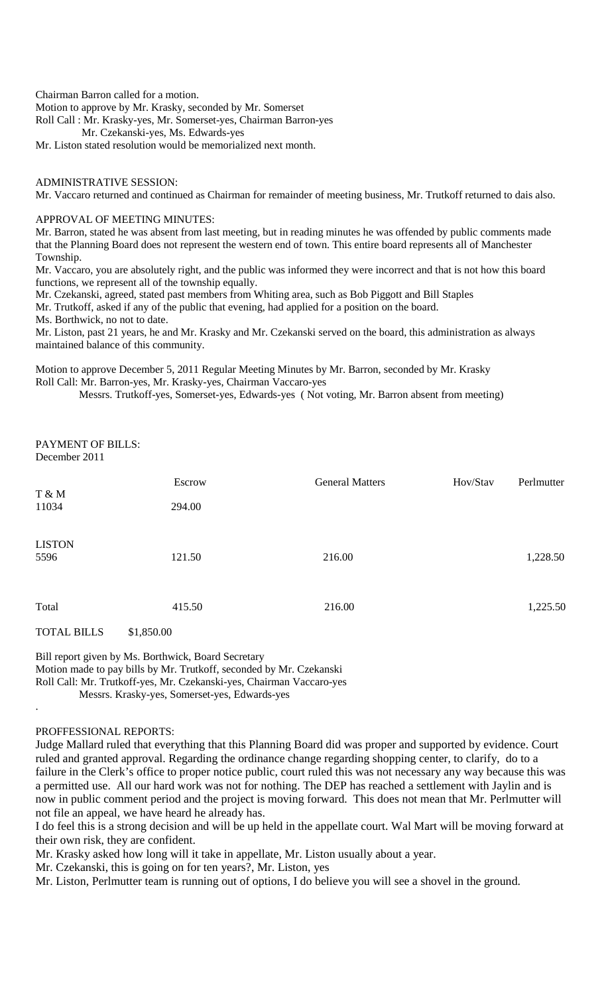Chairman Barron called for a motion.

Motion to approve by Mr. Krasky, seconded by Mr. Somerset

Roll Call : Mr. Krasky-yes, Mr. Somerset-yes, Chairman Barron-yes

Mr. Czekanski-yes, Ms. Edwards-yes

Mr. Liston stated resolution would be memorialized next month.

## ADMINISTRATIVE SESSION:

Mr. Vaccaro returned and continued as Chairman for remainder of meeting business, Mr. Trutkoff returned to dais also.

### APPROVAL OF MEETING MINUTES:

Mr. Barron, stated he was absent from last meeting, but in reading minutes he was offended by public comments made that the Planning Board does not represent the western end of town. This entire board represents all of Manchester Township.

Mr. Vaccaro, you are absolutely right, and the public was informed they were incorrect and that is not how this board functions, we represent all of the township equally.

Mr. Czekanski, agreed, stated past members from Whiting area, such as Bob Piggott and Bill Staples

Mr. Trutkoff, asked if any of the public that evening, had applied for a position on the board.

Ms. Borthwick, no not to date.

Mr. Liston, past 21 years, he and Mr. Krasky and Mr. Czekanski served on the board, this administration as always maintained balance of this community.

Motion to approve December 5, 2011 Regular Meeting Minutes by Mr. Barron, seconded by Mr. Krasky Roll Call: Mr. Barron-yes, Mr. Krasky-yes, Chairman Vaccaro-yes

Messrs. Trutkoff-yes, Somerset-yes, Edwards-yes ( Not voting, Mr. Barron absent from meeting)

### PAYMENT OF BILLS: December 2011

|                       | Escrow     | <b>General Matters</b> | Hov/Stav | Perlmutter |
|-----------------------|------------|------------------------|----------|------------|
| T & M<br>11034        | 294.00     |                        |          |            |
| <b>LISTON</b><br>5596 | 121.50     | 216.00                 |          | 1,228.50   |
| Total                 | 415.50     | 216.00                 |          | 1,225.50   |
| <b>TOTAL BILLS</b>    | \$1,850.00 |                        |          |            |

Bill report given by Ms. Borthwick, Board Secretary Motion made to pay bills by Mr. Trutkoff, seconded by Mr. Czekanski Roll Call: Mr. Trutkoff-yes, Mr. Czekanski-yes, Chairman Vaccaro-yes Messrs. Krasky-yes, Somerset-yes, Edwards-yes

#### PROFFESSIONAL REPORTS:

.

Judge Mallard ruled that everything that this Planning Board did was proper and supported by evidence. Court ruled and granted approval. Regarding the ordinance change regarding shopping center, to clarify, do to a failure in the Clerk's office to proper notice public, court ruled this was not necessary any way because this was a permitted use. All our hard work was not for nothing. The DEP has reached a settlement with Jaylin and is now in public comment period and the project is moving forward. This does not mean that Mr. Perlmutter will not file an appeal, we have heard he already has.

I do feel this is a strong decision and will be up held in the appellate court. Wal Mart will be moving forward at their own risk, they are confident.

Mr. Krasky asked how long will it take in appellate, Mr. Liston usually about a year.

Mr. Czekanski, this is going on for ten years?, Mr. Liston, yes

Mr. Liston, Perlmutter team is running out of options, I do believe you will see a shovel in the ground.